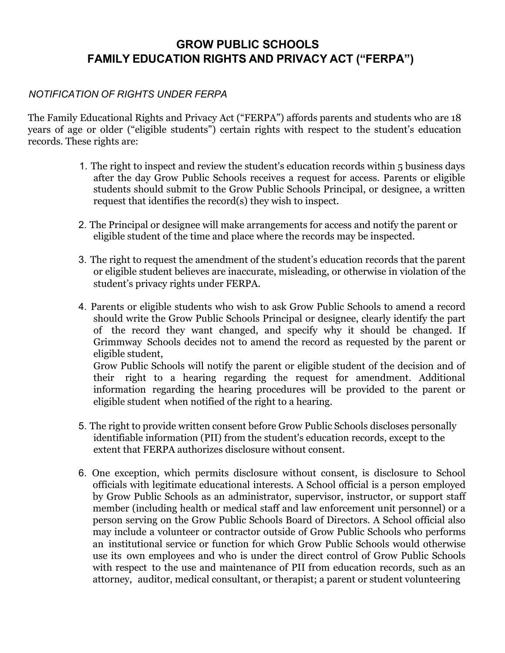## **GROW PUBLIC SCHOOLS FAMILY EDUCATION RIGHTS AND PRIVACY ACT ("FERPA")**

## *NOTIFICATION OF RIGHTS UNDER FERPA*

The Family Educational Rights and Privacy Act ("FERPA") affords parents and students who are 18 years of age or older ("eligible students") certain rights with respect to the student's education records. These rights are:

- 1. The right to inspect and review the student's education records within 5 business days after the day Grow Public Schools receives a request for access. Parents or eligible students should submit to the Grow Public Schools Principal, or designee, a written request that identifies the record(s) they wish to inspect.
- 2. The Principal or designee will make arrangements for access and notify the parent or eligible student of the time and place where the records may be inspected.
- 3. The right to request the amendment of the student's education records that the parent or eligible student believes are inaccurate, misleading, or otherwise in violation of the student's privacy rights under FERPA.
- 4. Parents or eligible students who wish to ask Grow Public Schools to amend a record should write the Grow Public Schools Principal or designee, clearly identify the part of the record they want changed, and specify why it should be changed. If Grimmway Schools decides not to amend the record as requested by the parent or eligible student, Grow Public Schools will notify the parent or eligible student of the decision and of their right to a hearing regarding the request for amendment. Additional information regarding the hearing procedures will be provided to the parent or
- 5. The right to provide written consent before Grow Public Schools discloses personally identifiable information (PII) from the student's education records, except to the extent that FERPA authorizes disclosure without consent.

eligible student when notified of the right to a hearing.

6. One exception, which permits disclosure without consent, is disclosure to School officials with legitimate educational interests. A School official is a person employed by Grow Public Schools as an administrator, supervisor, instructor, or support staff member (including health or medical staff and law enforcement unit personnel) or a person serving on the Grow Public Schools Board of Directors. A School official also may include a volunteer or contractor outside of Grow Public Schools who performs an institutional service or function for which Grow Public Schools would otherwise use its own employees and who is under the direct control of Grow Public Schools with respect to the use and maintenance of PII from education records, such as an attorney, auditor, medical consultant, or therapist; a parent or student volunteering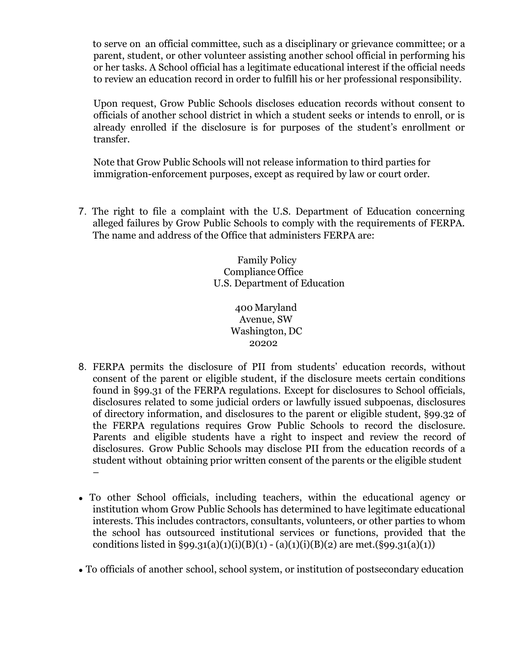to serve on an official committee, such as a disciplinary or grievance committee; or a parent, student, or other volunteer assisting another school official in performing his or her tasks. A School official has a legitimate educational interest if the official needs to review an education record in order to fulfill his or her professional responsibility.

Upon request, Grow Public Schools discloses education records without consent to officials of another school district in which a student seeks or intends to enroll, or is already enrolled if the disclosure is for purposes of the student's enrollment or transfer.

Note that Grow Public Schools will not release information to third parties for immigration-enforcement purposes, except as required by law or court order.

7. The right to file a complaint with the U.S. Department of Education concerning alleged failures by Grow Public Schools to comply with the requirements of FERPA. The name and address of the Office that administers FERPA are:

> Family Policy Compliance Office U.S. Department of Education

> > 400 Maryland Avenue, SW Washington, DC 20202

- 8. FERPA permits the disclosure of PII from students' education records, without consent of the parent or eligible student, if the disclosure meets certain conditions found in §99.31 of the FERPA regulations. Except for disclosures to School officials, disclosures related to some judicial orders or lawfully issued subpoenas, disclosures of directory information, and disclosures to the parent or eligible student, §99.32 of the FERPA regulations requires Grow Public Schools to record the disclosure. Parents and eligible students have a right to inspect and review the record of disclosures. Grow Public Schools may disclose PII from the education records of a student without obtaining prior written consent of the parents or the eligible student –
- To other School officials, including teachers, within the educational agency or institution whom Grow Public Schools has determined to have legitimate educational interests. This includes contractors, consultants, volunteers, or other parties to whom the school has outsourced institutional services or functions, provided that the conditions listed in §99.31(a)(1)(i)(B)(1) - (a)(1)(i)(B)(2) are met.(§99.31(a)(1))
- To officials of another school, school system, or institution of postsecondary education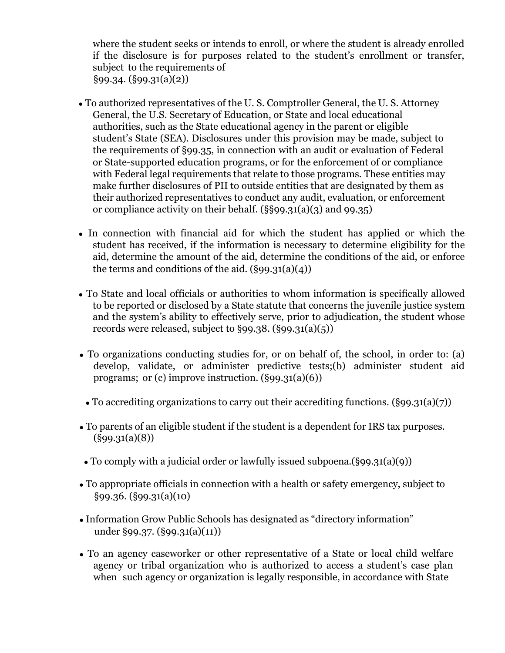where the student seeks or intends to enroll, or where the student is already enrolled if the disclosure is for purposes related to the student's enrollment or transfer, subject to the requirements of §99.34. (§99.31(a)(2))

- To authorized representatives of the U. S. Comptroller General, the U. S. Attorney General, the U.S. Secretary of Education, or State and local educational authorities, such as the State educational agency in the parent or eligible student's State (SEA). Disclosures under this provision may be made, subject to the requirements of §99.35, in connection with an audit or evaluation of Federal or State-supported education programs, or for the enforcement of or compliance with Federal legal requirements that relate to those programs. These entities may make further disclosures of PII to outside entities that are designated by them as their authorized representatives to conduct any audit, evaluation, or enforcement or compliance activity on their behalf. (§§99.31(a)(3) and 99.35)
- In connection with financial aid for which the student has applied or which the student has received, if the information is necessary to determine eligibility for the aid, determine the amount of the aid, determine the conditions of the aid, or enforce the terms and conditions of the aid.  $(\S 99.31(a)(4))$
- To State and local officials or authorities to whom information is specifically allowed to be reported or disclosed by a State statute that concerns the juvenile justice system and the system's ability to effectively serve, prior to adjudication, the student whose records were released, subject to  $\S 99.38$ .  $(\S 99.31(a)(5))$
- To organizations conducting studies for, or on behalf of, the school, in order to: (a) develop, validate, or administer predictive tests;(b) administer student aid programs; or  $(c)$  improve instruction.  $(\S 99.31(a)(6))$ 
	- To accrediting organizations to carry out their accrediting functions. (§99.31(a)(7))
- To parents of an eligible student if the student is a dependent for IRS tax purposes. (§99.31(a)(8))
- To comply with a judicial order or lawfully issued subpoena.(§99.31(a)(9))
- To appropriate officials in connection with a health or safety emergency, subject to §99.36. (§99.31(a)(10)
- Information Grow Public Schools has designated as "directory information" under §99.37. (§99.31(a)(11))
- To an agency caseworker or other representative of a State or local child welfare agency or tribal organization who is authorized to access a student's case plan when such agency or organization is legally responsible, in accordance with State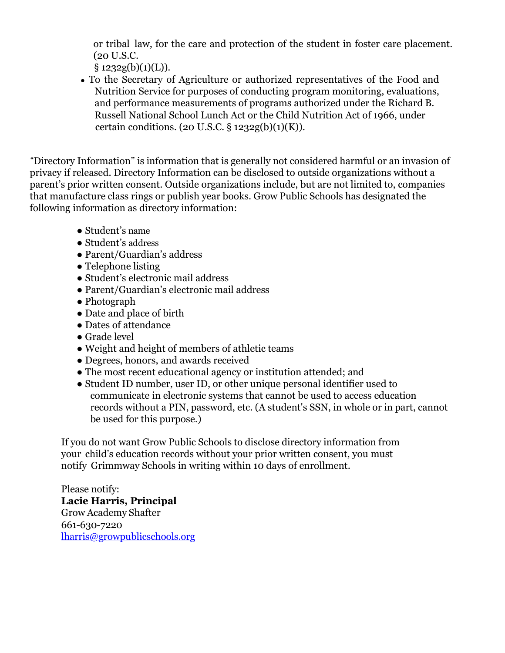or tribal law, for the care and protection of the student in foster care placement. (20 U.S.C.

 $§ 1232g(b)(1)(L)).$ 

• To the Secretary of Agriculture or authorized representatives of the Food and Nutrition Service for purposes of conducting program monitoring, evaluations, and performance measurements of programs authorized under the Richard B. Russell National School Lunch Act or the Child Nutrition Act of 1966, under certain conditions. (20 U.S.C.  $\S 1232g(b)(1)(K)$ ).

"Directory Information" is information that is generally not considered harmful or an invasion of privacy if released. Directory Information can be disclosed to outside organizations without a parent's prior written consent. Outside organizations include, but are not limited to, companies that manufacture class rings or publish year books. Grow Public Schools has designated the following information as directory information:

- Student's name
- Student's address
- Parent/Guardian's address
- Telephone listing
- Student's electronic mail address
- Parent/Guardian's electronic mail address
- Photograph
- Date and place of birth
- Dates of attendance
- Grade level
- Weight and height of members of athletic teams
- Degrees, honors, and awards received
- The most recent educational agency or institution attended; and
- Student ID number, user ID, or other unique personal identifier used to communicate in electronic systems that cannot be used to access education records without a PIN, password, etc. (A student's SSN, in whole or in part, cannot be used for this purpose.)

If you do not want Grow Public Schools to disclose directory information from your child's education records without your prior written consent, you must notify Grimmway Schools in writing within 10 days of enrollment.

Please notify: **Lacie Harris, Principal** Grow Academy Shafter 661-630-7220 [lharris@growpublicschools.org](mailto:lharris@growpublicschools.org)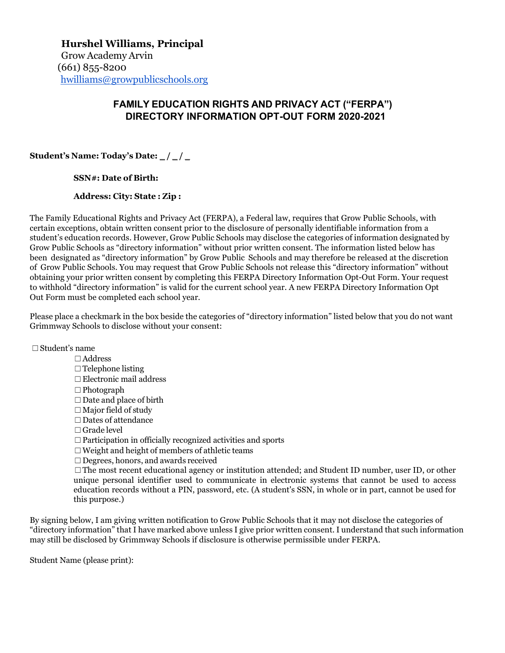## **FAMILY EDUCATION RIGHTS AND PRIVACY ACT ("FERPA") DIRECTORY INFORMATION OPT-OUT FORM 2020-2021**

**Student's Name: Today's Date:** \_ **/** \_ **/** \_

**SSN#: Date of Birth:**

## **Address: City: State : Zip :**

The Family Educational Rights and Privacy Act (FERPA), a Federal law, requires that Grow Public Schools, with certain exceptions, obtain written consent prior to the disclosure of personally identifiable information from a student's education records. However, Grow Public Schools may disclose the categories of information designated by Grow Public Schools as "directory information" without prior written consent. The information listed below has been designated as "directory information" by Grow Public Schools and may therefore be released at the discretion of Grow Public Schools. You may request that Grow Public Schools not release this "directory information" without obtaining your prior written consent by completing this FERPA Directory Information Opt-Out Form. Your request to withhold "directory information" is valid for the current school year. A new FERPA Directory Information Opt Out Form must be completed each school year.

Please place a checkmark in the box beside the categories of "directory information" listed below that you do not want Grimmway Schools to disclose without your consent:

☐Student's name

☐Address □ Telephone listing ☐Electronic mail address ☐Photograph  $\Box$ Date and place of birth  $\Box$  Major field of study □Dates of attendance ☐Grade level ☐Participation in officially recognized activities and sports ☐Weight and height of members of athletic teams ☐Degrees, honors, and awards received  $\Box$ The most recent educational agency or institution attended; and Student ID number, user ID, or other unique personal identifier used to communicate in electronic systems that cannot be used to access education records without a PIN, password, etc. (A student's SSN, in whole or in part, cannot be used for this purpose.)

By signing below, I am giving written notification to Grow Public Schools that it may not disclose the categories of "directory information" that I have marked above unless I give prior written consent. I understand that such information may still be disclosed by Grimmway Schools if disclosure is otherwise permissible under FERPA.

Student Name (please print):